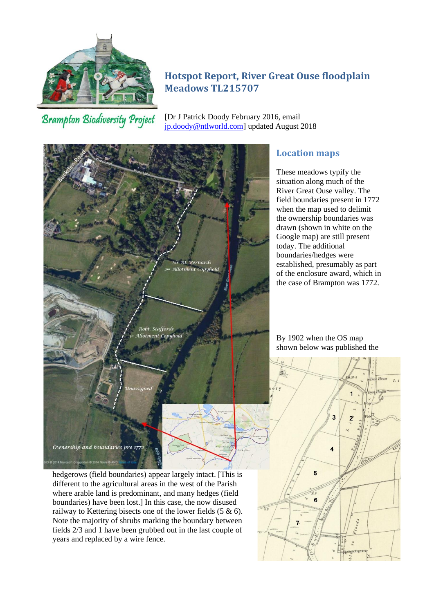

# **Hotspot Report, River Great Ouse floodplain Meadows TL215707**

**Brampton Biodiversity Project** 

[Dr J Patrick Doody February 2016, email [jp.doody@ntlworld.com\]](mailto:jp.doody@ntlworld.com) updated August 2018



## **Location maps**

These meadows typify the situation along much of the River Great Ouse valley. The field boundaries present in 1772 when the map used to delimit the ownership boundaries was drawn (shown in white on the Google map) are still present today. The additional boundaries/hedges were established, presumably as part of the enclosure award, which in the case of Brampton was 1772.

By 1902 when the OS map shown below was published the



hedgerows (field boundaries) appear largely intact. [This is different to the agricultural areas in the west of the Parish where arable land is predominant, and many hedges (field boundaries) have been lost.] In this case, the now disused railway to Kettering bisects one of the lower fields (5 & 6). Note the majority of shrubs marking the boundary between fields 2/3 and 1 have been grubbed out in the last couple of years and replaced by a wire fence.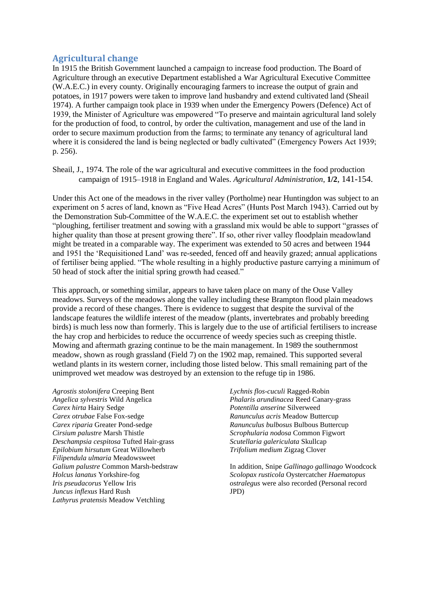### **Agricultural change**

In 1915 the British Government launched a campaign to increase food production. The Board of Agriculture through an executive Department established a War Agricultural Executive Committee (W.A.E.C.) in every county. Originally encouraging farmers to increase the output of grain and potatoes, in 1917 powers were taken to improve land husbandry and extend cultivated land (Sheail 1974). A further campaign took place in 1939 when under the Emergency Powers (Defence) Act of 1939, the Minister of Agriculture was empowered "To preserve and maintain agricultural land solely for the production of food, to control, by order the cultivation, management and use of the land in order to secure maximum production from the farms; to terminate any tenancy of agricultural land where it is considered the land is being neglected or badly cultivated" (Emergency Powers Act 1939; p. 256).

Sheail, J., 1974. The role of the war agricultural and executive committees in the food production campaign of 1915–1918 in England and Wales. *[Agricultural Administration](https://www.sciencedirect.com/science/journal/0309586X)*, **[1/2](https://www.sciencedirect.com/science/journal/0309586X/1/2)**, 141-154.

Under this Act one of the meadows in the river valley (Portholme) near Huntingdon was subject to an experiment on 5 acres of land, known as "Five Head Acres" (Hunts Post March 1943). Carried out by the Demonstration Sub-Committee of the W.A.E.C. the experiment set out to establish whether "ploughing, fertiliser treatment and sowing with a grassland mix would be able to support "grasses of higher quality than those at present growing there". If so, other river valley floodplain meadowland might be treated in a comparable way. The experiment was extended to 50 acres and between 1944 and 1951 the 'Requisitioned Land' was re-seeded, fenced off and heavily grazed; annual applications of fertiliser being applied. "The whole resulting in a highly productive pasture carrying a minimum of 50 head of stock after the initial spring growth had ceased."

This approach, or something similar, appears to have taken place on many of the Ouse Valley meadows. Surveys of the meadows along the valley including these Brampton flood plain meadows provide a record of these changes. There is evidence to suggest that despite the survival of the landscape features the wildlife interest of the meadow (plants, invertebrates and probably breeding birds) is much less now than formerly. This is largely due to the use of artificial fertilisers to increase the hay crop and herbicides to reduce the occurrence of weedy species such as creeping thistle. Mowing and aftermath grazing continue to be the main management. In 1989 the southernmost meadow, shown as rough grassland (Field 7) on the 1902 map, remained. This supported several wetland plants in its western corner, including those listed below. This small remaining part of the unimproved wet meadow was destroyed by an extension to the refuge tip in 1986.

*Agrostis stolonifera* Creeping Bent *Angelica sylvestris* Wild Angelica *Carex hirta* Hairy Sedge *Carex otrubae* False Fox-sedge *Carex riparia* Greater Pond-sedge *Cirsium palustre* Marsh Thistle *Deschampsia cespitosa* Tufted Hair-grass *Epilobium hirsutum* [Great Willowherb](http://internt.nhm.ac.uk/cgi-bin/fff/glob.pl?report=Flora&Flora.%5bFloraNo%5d=197500) *Filipendula ulmaria* Meadowsweet *Galium palustre* Common Marsh-bedstraw *Holcus lanatus* Yorkshire-fog *Iris pseudacorus* Yellow Iris *Juncus inflexus* Hard Rush *Lathyrus pratensis* Meadow Vetchling

*Lychnis flos-cuculi* [Ragged-Robin](http://internt.nhm.ac.uk/cgi-bin/fff/glob.pl?report=Flora&Flora.%5bFloraNo%5d=53500) *Phalaris arundinacea* Reed Canary-grass *Potentilla anserine* Silverweed *Ranunculus acris* Meadow Buttercup *Ranunculus bulbosus* Bulbous Buttercup *Scrophularia nodosa* Common Figwort *Scutellaria galericulata* Skullcap *Trifolium medium* Zigzag Clover

In addition, Snipe *Gallinago gallinago* Woodcock *Scolopax rusticola* Oystercatcher *Haematopus ostralegus* were also recorded (Personal record JPD)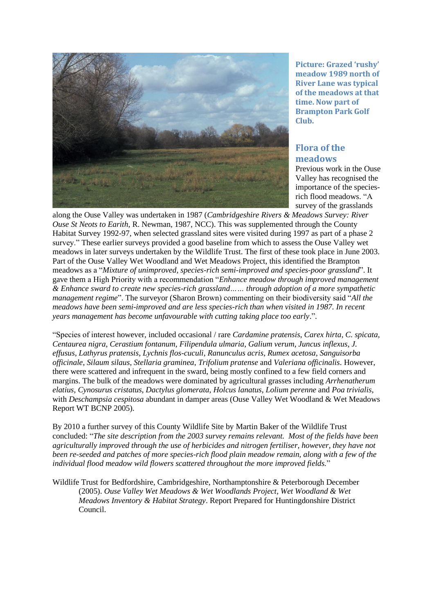

**Picture: Grazed 'rushy' meadow 1989 north of River Lane was typical of the meadows at that time. Now part of Brampton Park Golf Club.**

# **Flora of the meadows**

Previous work in the Ouse Valley has recognised the importance of the speciesrich flood meadows. "A survey of the grasslands

along the Ouse Valley was undertaken in 1987 (*Cambridgeshire Rivers & Meadows Survey: River Ouse St Neots to Earith*, R. Newman, 1987, NCC). This was supplemented through the County Habitat Survey 1992-97, when selected grassland sites were visited during 1997 as part of a phase 2 survey." These earlier surveys provided a good baseline from which to assess the Ouse Valley wet meadows in later surveys undertaken by the Wildlife Trust. The first of these took place in June 2003. Part of the Ouse Valley Wet Woodland and Wet Meadows Project, this identified the Brampton meadows as a "*Mixture of unimproved, species-rich semi-improved and species-poor grassland*". It gave them a High Priority with a recommendation "*Enhance meadow through improved management & Enhance sward to create new species-rich grassland…… through adoption of a more sympathetic management regime*". The surveyor (Sharon Brown) commenting on their biodiversity said "*All the meadows have been semi-improved and are less species-rich than when visited in 1987. In recent years management has become unfavourable with cutting taking place too early*.".

"Species of interest however, included occasional / rare *Cardamine pratensis*, *Carex hirta*, *C. spicata*, *Centaurea nigra*, *Cerastium fontanum*, *Filipendula ulmaria*, *Galium verum*, *Juncus inflexus*, *J. effusus*, *Lathyrus pratensis*, *Lychnis flos-cuculi*, *Ranunculus acris*, *Rumex acetosa*, *Sanguisorba officinale*, *Silaum silaus*, *Stellaria graminea*, *Trifolium pratense* and *Valeriana officinalis*. However, there were scattered and infrequent in the sward, being mostly confined to a few field corners and margins. The bulk of the meadows were dominated by agricultural grasses including *Arrhenatherum elatius*, *Cynosurus cristatus*, *Dactylus glomerata*, *Holcus lanatus*, *Lolium perenne* and *Poa trivialis*, with *Deschampsia cespitosa* abundant in damper areas (Ouse Valley Wet Woodland & Wet Meadows Report WT BCNP 2005).

By 2010 a further survey of this County Wildlife Site by Martin Baker of the Wildlife Trust concluded: "*The site description from the 2003 survey remains relevant. Most of the fields have been agriculturally improved through the use of herbicides and nitrogen fertiliser, however, they have not been re-seeded and patches of more species-rich flood plain meadow remain, along with a few of the individual flood meadow wild flowers scattered throughout the more improved fields.*"

Wildlife Trust for Bedfordshire, Cambridgeshire, Northamptonshire & Peterborough December (2005). *Ouse Valley Wet Meadows & Wet Woodlands Project, Wet Woodland & Wet Meadows Inventory & Habitat Strategy*. Report Prepared for Huntingdonshire District Council.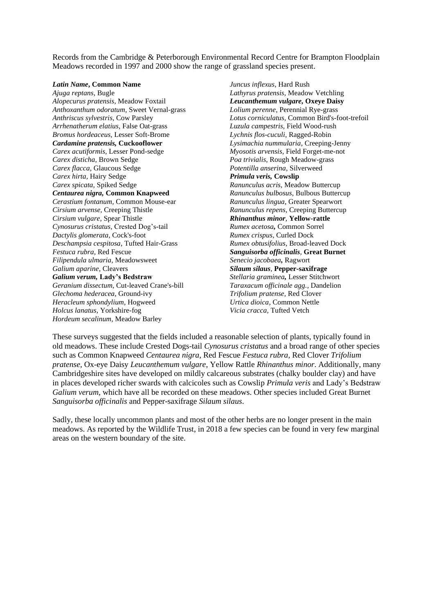Records from the Cambridge & Peterborough Environmental Record Centre for Brampton Floodplain Meadows recorded in 1997 and 2000 show the range of grassland species present.

#### *Latin Name***, Common Name**

*Ajuga reptans,* Bugle *Alopecurus pratensis,* Meadow Foxtail *Anthoxanthum odoratum,* Sweet Vernal-grass *Anthriscus sylvestris,* Cow Parsley *Arrhenatherum elatius,* False Oat-grass *Bromus hordeaceus,* Lesser Soft-Brome *Cardamine pratensis,* **Cuckooflower** *Carex acutiformis,* Lesser Pond-sedge *Carex disticha,* Brown Sedge *Carex flacca,* Glaucous Sedge *Carex hirta,* Hairy Sedge *Carex spicata,* Spiked Sedge *Centaurea nigra,* **Common Knapweed** *Cerastium fontanum,* Common Mouse-ear *Cirsium arvense,* Creeping Thistle *Cirsium vulgare,* Spear Thistle *Cynosurus cristatus,* Crested Dog's-tail *Dactylis glomerata,* Cock's-foot *Deschampsia cespitosa,* Tufted Hair-Grass *Festuca rubra,* Red Fescue *Filipendula ulmaria,* Meadowsweet *Galium aparine,* Cleavers *Galium verum,* **Lady's Bedstraw** *Geranium dissectum,* Cut-leaved Crane's-bill *Glechoma hederacea,* Ground-ivy *Heracleum sphondylium,* Hogweed *Holcus lanatus,* Yorkshire-fog *Hordeum secalinum,* Meadow Barley

*Juncus inflexus,* Hard Rush *Lathyrus pratensis,* Meadow Vetchling *Leucanthemum vulgare,* **Oxeye Daisy** *Lolium perenne,* Perennial Rye-grass *Lotus corniculatus,* Common Bird's-foot-trefoil *Luzula campestris,* Field Wood-rush *Lychnis flos-cuculi,* Ragged-Robin *Lysimachia nummularia,* Creeping-Jenny *Myosotis arvensis,* Field Forget-me-not *Poa trivialis,* Rough Meadow-grass *Potentilla anserina,* Silverweed *Primula veris,* **Cowslip** *Ranunculus acris,* Meadow Buttercup *Ranunculus bulbosus,* Bulbous Buttercup *Ranunculus lingua,* Greater Spearwort *Ranunculus repens,* Creeping Buttercup *Rhinanthus minor,* **Yellow-rattle** *Rumex acetosa,* Common Sorrel *Rumex crispus,* Curled Dock *Rumex obtusifolius,* Broad-leaved Dock *Sanguisorba officinalis,* **Great Burnet** *Senecio jacobaea,* Ragwort *Silaum silaus,* **Pepper-saxifrage** *Stellaria graminea,* Lesser Stitchwort *Taraxacum officinale agg.,* Dandelion *Trifolium pratense,* Red Clover *Urtica dioica,* Common Nettle *Vicia cracca,* Tufted Vetch

These surveys suggested that the fields included a reasonable selection of plants, typically found in old meadows. These include Crested Dogs-tail *Cynosurus cristatus* and a broad range of other species such as Common Knapweed *Centaurea nigra*, Red Fescue *Festuca rubra*, Red Clover *Trifolium pratense*, Ox-eye Daisy *Leucanthemum vulgare*, Yellow Rattle *Rhinanthus minor*. Additionally, many Cambridgeshire sites have developed on mildly calcareous substrates (chalky boulder clay) and have in places developed richer swards with calcicoles such as Cowslip *Primula veris* and Lady's Bedstraw *Galium verum*, which have all be recorded on these meadows. Other species included Great Burnet *Sanguisorba officinalis* and Pepper-saxifrage *Silaum silaus*.

Sadly, these locally uncommon plants and most of the other herbs are no longer present in the main meadows. As reported by the Wildlife Trust, in 2018 a few species can be found in very few marginal areas on the western boundary of the site.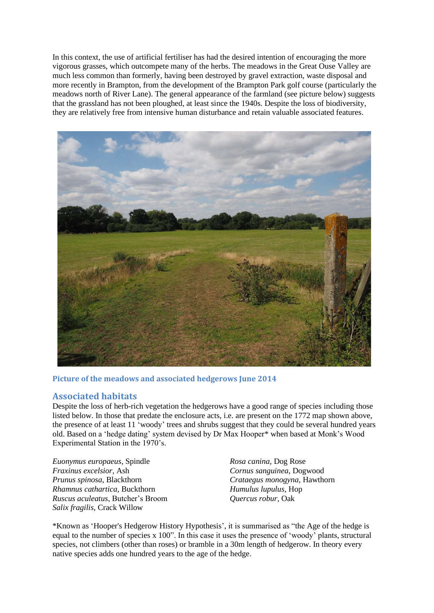In this context, the use of artificial fertiliser has had the desired intention of encouraging the more vigorous grasses, which outcompete many of the herbs. The meadows in the Great Ouse Valley are much less common than formerly, having been destroyed by gravel extraction, waste disposal and more recently in Brampton, from the development of the Brampton Park golf course (particularly the meadows north of River Lane). The general appearance of the farmland (see picture below) suggests that the grassland has not been ploughed, at least since the 1940s. Despite the loss of biodiversity, they are relatively free from intensive human disturbance and retain valuable associated features.



**Picture of the meadows and associated hedgerows June 2014**

### **Associated habitats**

Despite the loss of herb-rich vegetation the hedgerows have a good range of species including those listed below. In those that predate the enclosure acts, i.e. are present on the 1772 map shown above, the presence of at least 11 'woody' trees and shrubs suggest that they could be several hundred years old. Based on a 'hedge dating' system devised by Dr Max Hooper\* when based at Monk's Wood Experimental Station in the 1970's.

*Euonymus europaeus*, Spindle *Fraxinus excelsior*, Ash *Prunus spinosa*, Blackthorn *Rhamnus cathartica*, Buckthorn *Ruscus aculeatus*, Butcher's Broom *Salix fragilis*, Crack Willow

*Rosa canina*, Dog Rose *Cornus sanguinea*, Dogwood *Crataegus monogyna*, Hawthorn *Humulus lupulus*, Hop *Quercus robur*, Oak

\*Known as 'Hooper's Hedgerow History Hypothesis', it is summarised as "the Age of the hedge is equal to the number of species x 100". In this case it uses the presence of 'woody' plants, structural species, not climbers (other than roses) or bramble in a 30m length of hedgerow. In theory every native species adds one hundred years to the age of the hedge.